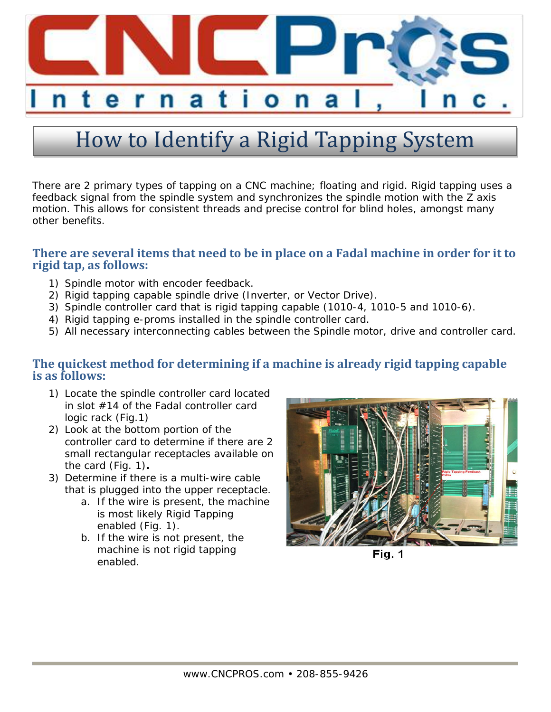

## How to Identify a Rigid Tapping System

There are 2 primary types of tapping on a CNC machine; floating and rigid. Rigid tapping uses a feedback signal from the spindle system and synchronizes the spindle motion with the Z axis motion. This allows for consistent threads and precise control for blind holes, amongst many other benefits.

## **There are several items that need to be in place on a Fadal machine in order for it to rigid tap, as follows:**

- 1) Spindle motor with encoder feedback.
- 2) Rigid tapping capable spindle drive (Inverter, or Vector Drive).
- 3) Spindle controller card that is rigid tapping capable (1010-4, 1010-5 and 1010-6).
- 4) Rigid tapping e-proms installed in the spindle controller card.
- 5) All necessary interconnecting cables between the Spindle motor, drive and controller card.

## **The quickest method for determining if a machine is already rigid tapping capable is as follows:**

- 1) Locate the spindle controller card located in slot #14 of the Fadal controller card logic rack (Fig.1)
- 2) Look at the bottom portion of the controller card to determine if there are 2 small rectangular receptacles available on the card (Fig. 1)**.**
- 3) Determine if there is a multi-wire cable that is plugged into the upper receptacle.
	- a. If the wire is present, the machine is most likely Rigid Tapping enabled (Fig. 1).
	- b. If the wire is not present, the machine is not rigid tapping enabled.



Fig. 1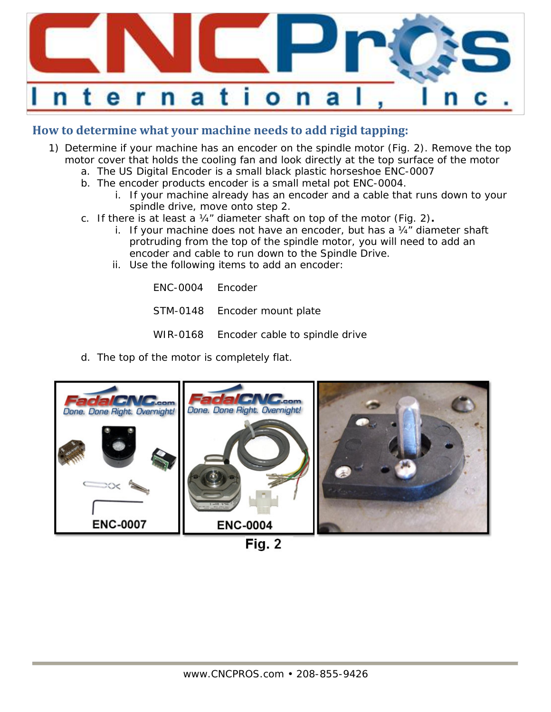

## **How to determine what your machine needs to add rigid tapping:**

- 1) Determine if your machine has an encoder on the spindle motor (Fig. 2). Remove the top motor cover that holds the cooling fan and look directly at the top surface of the motor
	- a. The US Digital Encoder is a small black plastic horseshoe ENC-0007
	- b. The encoder products encoder is a small metal pot ENC-0004.
		- i. If your machine already has an encoder and a cable that runs down to your spindle drive, move onto step 2.
	- c. If there is at least a ¼" diameter shaft on top of the motor (Fig. 2)**.**
		- i. If your machine does not have an encoder, but has a  $\frac{1}{4}$  diameter shaft protruding from the top of the spindle motor, you will need to add an encoder and cable to run down to the Spindle Drive.
		- ii. Use the following items to add an encoder:

ENC-0004 Encoder

- STM-0148 Encoder mount plate
- WIR-0168 Encoder cable to spindle drive
- d. The top of the motor is completely flat.



Fig. 2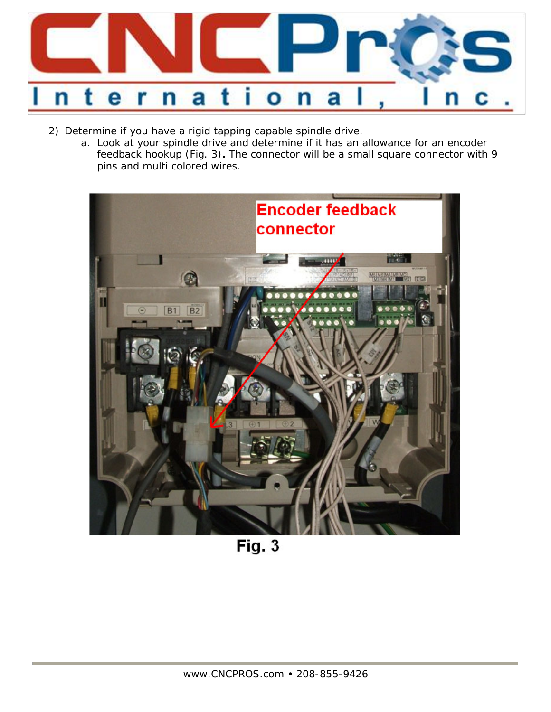

- 2) Determine if you have a rigid tapping capable spindle drive.
	- a. Look at your spindle drive and determine if it has an allowance for an encoder feedback hookup (Fig. 3)**.** The connector will be a small square connector with 9 pins and multi colored wires.



**Fig. 3**